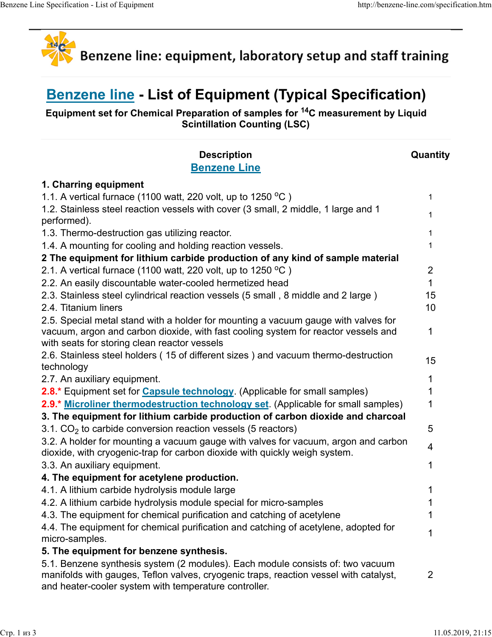

## Benzene line - List of Equipment (Typical Specification)

| ne Specification - List of Equipment<br>http://benzene-line.com/specification.htm                                                                                                                     |              |
|-------------------------------------------------------------------------------------------------------------------------------------------------------------------------------------------------------|--------------|
|                                                                                                                                                                                                       |              |
| Benzene line: equipment, laboratory setup and staff training                                                                                                                                          |              |
| <b>Benzene line - List of Equipment (Typical Specification)</b><br>Equipment set for Chemical Preparation of samples for <sup>14</sup> C measurement by Liquid<br><b>Scintillation Counting (LSC)</b> |              |
| <b>Description</b>                                                                                                                                                                                    | Quantity     |
| <b>Benzene Line</b>                                                                                                                                                                                   |              |
| 1. Charring equipment                                                                                                                                                                                 |              |
| 1.1. A vertical furnace (1100 watt, 220 volt, up to 1250 °C)                                                                                                                                          |              |
| 1.2. Stainless steel reaction vessels with cover (3 small, 2 middle, 1 large and 1                                                                                                                    |              |
| performed).<br>1.3. Thermo-destruction gas utilizing reactor.                                                                                                                                         |              |
| 1.4. A mounting for cooling and holding reaction vessels.                                                                                                                                             |              |
| 2 The equipment for lithium carbide production of any kind of sample material                                                                                                                         |              |
| 2.1. A vertical furnace (1100 watt, 220 volt, up to 1250 $^{\circ}$ C)                                                                                                                                | 2            |
| 2.2. An easily discountable water-cooled hermetized head                                                                                                                                              |              |
| 2.3. Stainless steel cylindrical reaction vessels (5 small, 8 middle and 2 large)                                                                                                                     | 15           |
| 2.4. Titanium liners                                                                                                                                                                                  | 10           |
| 2.5. Special metal stand with a holder for mounting a vacuum gauge with valves for                                                                                                                    |              |
| vacuum, argon and carbon dioxide, with fast cooling system for reactor vessels and                                                                                                                    |              |
| with seats for storing clean reactor vessels                                                                                                                                                          |              |
| 2.6. Stainless steel holders (15 of different sizes) and vacuum thermo-destruction<br>technology                                                                                                      | 15           |
| 2.7. An auxiliary equipment.                                                                                                                                                                          |              |
| 2.8.* Equipment set for Capsule technology. (Applicable for small samples)                                                                                                                            |              |
| 2.9.* Microliner thermodestruction technology set. (Applicable for small samples)                                                                                                                     |              |
| 3. The equipment for lithium carbide production of carbon dioxide and charcoal                                                                                                                        |              |
| 3.1. $CO2$ to carbide conversion reaction vessels (5 reactors)                                                                                                                                        | 5            |
| 3.2. A holder for mounting a vacuum gauge with valves for vacuum, argon and carbon                                                                                                                    |              |
| dioxide, with cryogenic-trap for carbon dioxide with quickly weigh system.                                                                                                                            |              |
| 3.3. An auxiliary equipment.                                                                                                                                                                          |              |
| 4. The equipment for acetylene production.                                                                                                                                                            |              |
| 4.1. A lithium carbide hydrolysis module large                                                                                                                                                        |              |
| 4.2. A lithium carbide hydrolysis module special for micro-samples                                                                                                                                    |              |
| 4.3. The equipment for chemical purification and catching of acetylene<br>4.4. The equipment for chemical purification and catching of acetylene, adopted for                                         |              |
| micro-samples.                                                                                                                                                                                        |              |
| 5. The equipment for benzene synthesis.                                                                                                                                                               |              |
| 5.1. Benzene synthesis system (2 modules). Each module consists of: two vacuum                                                                                                                        |              |
| manifolds with gauges, Teflon valves, cryogenic traps, reaction vessel with catalyst,<br>and heater-cooler system with temperature controller.                                                        | $\mathbf{2}$ |